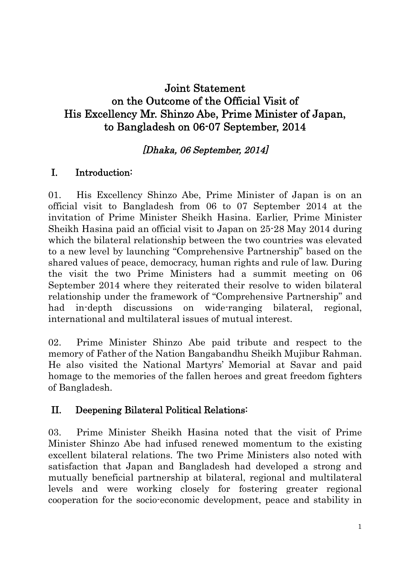# Joint Statement on the Outcome of the Official Visit of His Excellency Mr. Shinzo Abe, Prime Minister of Japan, to Bangladesh on 06-07 September, 2014

# [Dhaka, 06 September, 2014]

# I. Introduction:

01. His Excellency Shinzo Abe, Prime Minister of Japan is on an official visit to Bangladesh from 06 to 07 September 2014 at the invitation of Prime Minister Sheikh Hasina. Earlier, Prime Minister Sheikh Hasina paid an official visit to Japan on 25-28 May 2014 during which the bilateral relationship between the two countries was elevated to a new level by launching "Comprehensive Partnership" based on the shared values of peace, democracy, human rights and rule of law. During the visit the two Prime Ministers had a summit meeting on 06 September 2014 where they reiterated their resolve to widen bilateral relationship under the framework of "Comprehensive Partnership" and had in-depth discussions on wide-ranging bilateral, regional, international and multilateral issues of mutual interest.

02. Prime Minister Shinzo Abe paid tribute and respect to the memory of Father of the Nation Bangabandhu Sheikh Mujibur Rahman. He also visited the National Martyrs' Memorial at Savar and paid homage to the memories of the fallen heroes and great freedom fighters of Bangladesh.

### II. Deepening Bilateral Political Relations:

03. Prime Minister Sheikh Hasina noted that the visit of Prime Minister Shinzo Abe had infused renewed momentum to the existing excellent bilateral relations. The two Prime Ministers also noted with satisfaction that Japan and Bangladesh had developed a strong and mutually beneficial partnership at bilateral, regional and multilateral levels and were working closely for fostering greater regional cooperation for the socio-economic development, peace and stability in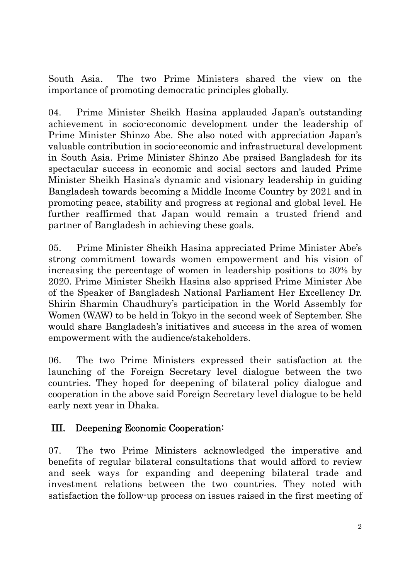South Asia. The two Prime Ministers shared the view on the importance of promoting democratic principles globally.

04. Prime Minister Sheikh Hasina applauded Japan's outstanding achievement in socio-economic development under the leadership of Prime Minister Shinzo Abe. She also noted with appreciation Japan's valuable contribution in socio-economic and infrastructural development in South Asia. Prime Minister Shinzo Abe praised Bangladesh for its spectacular success in economic and social sectors and lauded Prime Minister Sheikh Hasina's dynamic and visionary leadership in guiding Bangladesh towards becoming a Middle Income Country by 2021 and in promoting peace, stability and progress at regional and global level. He further reaffirmed that Japan would remain a trusted friend and partner of Bangladesh in achieving these goals.

05. Prime Minister Sheikh Hasina appreciated Prime Minister Abe's strong commitment towards women empowerment and his vision of increasing the percentage of women in leadership positions to 30% by 2020. Prime Minister Sheikh Hasina also apprised Prime Minister Abe of the Speaker of Bangladesh National Parliament Her Excellency Dr. Shirin Sharmin Chaudhury's participation in the World Assembly for Women (WAW) to be held in Tokyo in the second week of September. She would share Bangladesh's initiatives and success in the area of women empowerment with the audience/stakeholders.

06. The two Prime Ministers expressed their satisfaction at the launching of the Foreign Secretary level dialogue between the two countries. They hoped for deepening of bilateral policy dialogue and cooperation in the above said Foreign Secretary level dialogue to be held early next year in Dhaka.

### III. Deepening Economic Cooperation:

07. The two Prime Ministers acknowledged the imperative and benefits of regular bilateral consultations that would afford to review and seek ways for expanding and deepening bilateral trade and investment relations between the two countries. They noted with satisfaction the follow-up process on issues raised in the first meeting of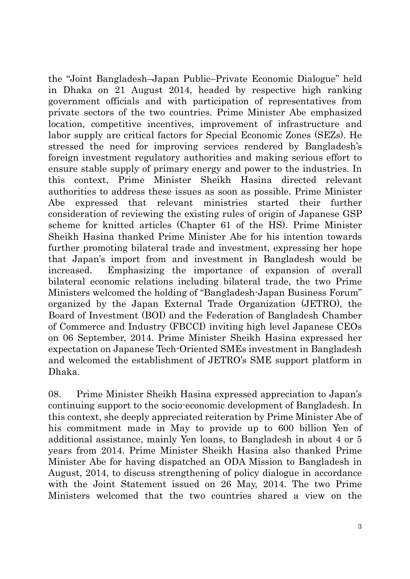the "Joint Bangladesh–Japan Public–Private Economic Dialogue" held in Dhaka on 21 August 2014, headed by respective high ranking government officials and with participation of representatives from private sectors of the two countries. Prime Minister Abe emphasized location, competitive incentives, improvement of infrastructure and labor supply are critical factors for Special Economic Zones (SEZs). He stressed the need for improving services rendered by Bangladesh's foreign investment regulatory authorities and making serious effort to ensure stable supply of primary energy and power to the industries. In this context, Prime Minister Sheikh Hasina directed relevant authorities to address these issues as soon as possible. Prime Minister Abe expressed that relevant ministries started their further consideration of reviewing the existing rules of origin of Japanese GSP scheme for knitted articles (Chapter 61 of the HS). Prime Minister Sheikh Hasina thanked Prime Minister Abe for his intention towards further promoting bilateral trade and investment, expressing her hope that Japan's import from and investment in Bangladesh would be increased. Emphasizing the importance of expansion of overall bilateral economic relations including bilateral trade, the two Prime Ministers welcomed the holding of "Bangladesh-Japan Business Forum" organized by the Japan External Trade Organization (JETRO), the Board of Investment (BOI) and the Federation of Bangladesh Chamber of Commerce and Industry (FBCCI) inviting high level Japanese CEOs on 06 September, 2014. Prime Minister Sheikh Hasina expressed her expectation on Japanese Tech-Oriented SMEs investment in Bangladesh and welcomed the establishment of JETRO's SME support platform in Dhaka.

08. Prime Minister Sheikh Hasina expressed appreciation to Japan's continuing support to the socio-economic development of Bangladesh. In this context, she deeply appreciated reiteration by Prime Minister Abe of his commitment made in May to provide up to 600 billion Yen of additional assistance, mainly Yen loans, to Bangladesh in about 4 or 5 years from 2014. Prime Minister Sheikh Hasina also thanked Prime Minister Abe for having dispatched an ODA Mission to Bangladesh in August, 2014, to discuss strengthening of policy dialogue in accordance with the Joint Statement issued on 26 May, 2014. The two Prime Ministers welcomed that the two countries shared a view on the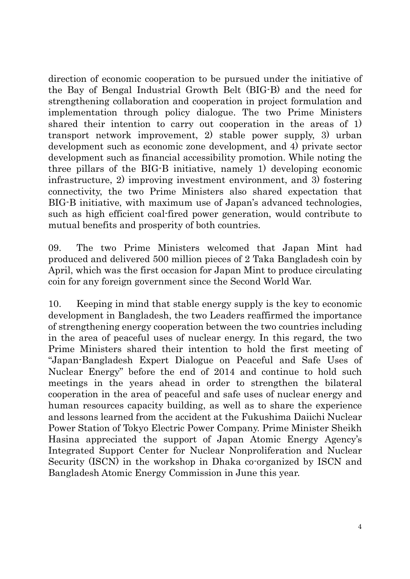direction of economic cooperation to be pursued under the initiative of the Bay of Bengal Industrial Growth Belt (BIG-B) and the need for strengthening collaboration and cooperation in project formulation and implementation through policy dialogue. The two Prime Ministers shared their intention to carry out cooperation in the areas of 1) transport network improvement, 2) stable power supply, 3) urban development such as economic zone development, and 4) private sector development such as financial accessibility promotion. While noting the three pillars of the BIG-B initiative, namely 1) developing economic infrastructure, 2) improving investment environment, and 3) fostering connectivity, the two Prime Ministers also shared expectation that BIG-B initiative, with maximum use of Japan's advanced technologies, such as high efficient coal-fired power generation, would contribute to mutual benefits and prosperity of both countries.

09. The two Prime Ministers welcomed that Japan Mint had produced and delivered 500 million pieces of 2 Taka Bangladesh coin by April, which was the first occasion for Japan Mint to produce circulating coin for any foreign government since the Second World War.

10. Keeping in mind that stable energy supply is the key to economic development in Bangladesh, the two Leaders reaffirmed the importance of strengthening energy cooperation between the two countries including in the area of peaceful uses of nuclear energy. In this regard, the two Prime Ministers shared their intention to hold the first meeting of "Japan-Bangladesh Expert Dialogue on Peaceful and Safe Uses of Nuclear Energy" before the end of 2014 and continue to hold such meetings in the years ahead in order to strengthen the bilateral cooperation in the area of peaceful and safe uses of nuclear energy and human resources capacity building, as well as to share the experience and lessons learned from the accident at the Fukushima Daiichi Nuclear Power Station of Tokyo Electric Power Company. Prime Minister Sheikh Hasina appreciated the support of Japan Atomic Energy Agency's Integrated Support Center for Nuclear Nonproliferation and Nuclear Security (ISCN) in the workshop in Dhaka co-organized by ISCN and Bangladesh Atomic Energy Commission in June this year.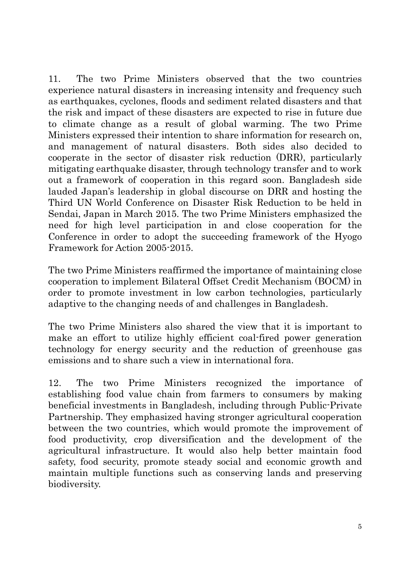11. The two Prime Ministers observed that the two countries experience natural disasters in increasing intensity and frequency such as earthquakes, cyclones, floods and sediment related disasters and that the risk and impact of these disasters are expected to rise in future due to climate change as a result of global warming. The two Prime Ministers expressed their intention to share information for research on, and management of natural disasters. Both sides also decided to cooperate in the sector of disaster risk reduction (DRR), particularly mitigating earthquake disaster, through technology transfer and to work out a framework of cooperation in this regard soon. Bangladesh side lauded Japan's leadership in global discourse on DRR and hosting the Third UN World Conference on Disaster Risk Reduction to be held in Sendai, Japan in March 2015. The two Prime Ministers emphasized the need for high level participation in and close cooperation for the Conference in order to adopt the succeeding framework of the Hyogo Framework for Action 2005-2015.

The two Prime Ministers reaffirmed the importance of maintaining close cooperation to implement Bilateral Offset Credit Mechanism (BOCM) in order to promote investment in low carbon technologies, particularly adaptive to the changing needs of and challenges in Bangladesh.

The two Prime Ministers also shared the view that it is important to make an effort to utilize highly efficient coal-fired power generation technology for energy security and the reduction of greenhouse gas emissions and to share such a view in international fora.

12. The two Prime Ministers recognized the importance of establishing food value chain from farmers to consumers by making beneficial investments in Bangladesh, including through Public-Private Partnership. They emphasized having stronger agricultural cooperation between the two countries, which would promote the improvement of food productivity, crop diversification and the development of the agricultural infrastructure. It would also help better maintain food safety, food security, promote steady social and economic growth and maintain multiple functions such as conserving lands and preserving biodiversity.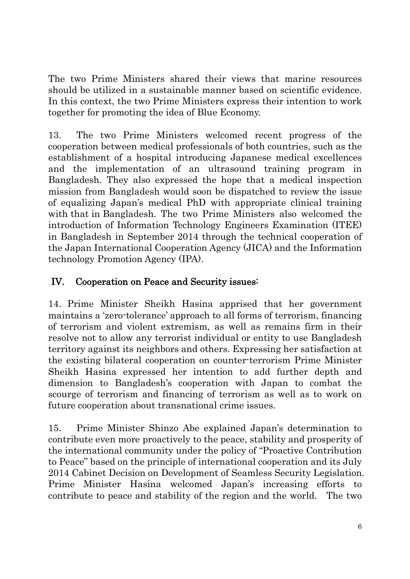The two Prime Ministers shared their views that marine resources should be utilized in a sustainable manner based on scientific evidence. In this context, the two Prime Ministers express their intention to work together for promoting the idea of Blue Economy.

13. The two Prime Ministers welcomed recent progress of the cooperation between medical professionals of both countries, such as the establishment of a hospital introducing Japanese medical excellences and the implementation of an ultrasound training program in Bangladesh. They also expressed the hope that a medical inspection mission from Bangladesh would soon be dispatched to review the issue of equalizing Japan's medical PhD with appropriate clinical training with that in Bangladesh. The two Prime Ministers also welcomed the introduction of Information Technology Engineers Examination (ITEE) in Bangladesh in September 2014 through the technical cooperation of the Japan International Cooperation Agency (JICA) and the Information technology Promotion Agency (IPA).

# IV. Cooperation on Peace and Security issues:

14. Prime Minister Sheikh Hasina apprised that her government maintains a 'zero-tolerance' approach to all forms of terrorism, financing of terrorism and violent extremism, as well as remains firm in their resolve not to allow any terrorist individual or entity to use Bangladesh territory against its neighbors and others. Expressing her satisfaction at the existing bilateral cooperation on counter-terrorism Prime Minister Sheikh Hasina expressed her intention to add further depth and dimension to Bangladesh's cooperation with Japan to combat the scourge of terrorism and financing of terrorism as well as to work on future cooperation about transnational crime issues.

15. Prime Minister Shinzo Abe explained Japan's determination to contribute even more proactively to the peace, stability and prosperity of the international community under the policy of "Proactive Contribution to Peace" based on the principle of international cooperation and its July 2014 Cabinet Decision on Development of Seamless Security Legislation. Prime Minister Hasina welcomed Japan's increasing efforts to contribute to peace and stability of the region and the world. The two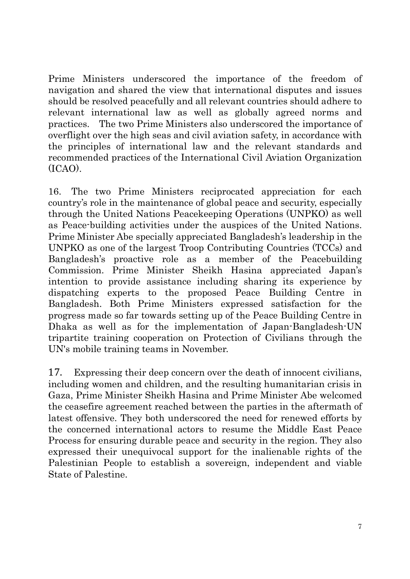Prime Ministers underscored the importance of the freedom of navigation and shared the view that international disputes and issues should be resolved peacefully and all relevant countries should adhere to relevant international law as well as globally agreed norms and practices. The two Prime Ministers also underscored the importance of overflight over the high seas and civil aviation safety, in accordance with the principles of international law and the relevant standards and recommended practices of the International Civil Aviation Organization (ICAO).

16. The two Prime Ministers reciprocated appreciation for each country's role in the maintenance of global peace and security, especially through the United Nations Peacekeeping Operations (UNPKO) as well as Peace-building activities under the auspices of the United Nations. Prime Minister Abe specially appreciated Bangladesh's leadership in the UNPKO as one of the largest Troop Contributing Countries (TCCs) and Bangladesh's proactive role as a member of the Peacebuilding Commission. Prime Minister Sheikh Hasina appreciated Japan's intention to provide assistance including sharing its experience by dispatching experts to the proposed Peace Building Centre in Bangladesh. Both Prime Ministers expressed satisfaction for the progress made so far towards setting up of the Peace Building Centre in Dhaka as well as for the implementation of Japan-Bangladesh-UN tripartite training cooperation on Protection of Civilians through the UN's mobile training teams in November.

17. Expressing their deep concern over the death of innocent civilians, including women and children, and the resulting humanitarian crisis in Gaza, Prime Minister Sheikh Hasina and Prime Minister Abe welcomed the ceasefire agreement reached between the parties in the aftermath of latest offensive. They both underscored the need for renewed efforts by the concerned international actors to resume the Middle East Peace Process for ensuring durable peace and security in the region. They also expressed their unequivocal support for the inalienable rights of the Palestinian People to establish a sovereign, independent and viable State of Palestine.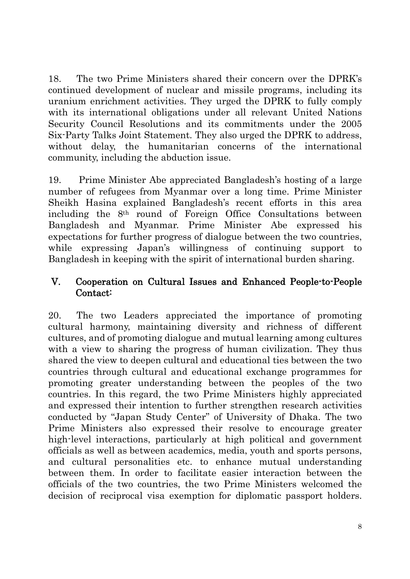18. The two Prime Ministers shared their concern over the DPRK's continued development of nuclear and missile programs, including its uranium enrichment activities. They urged the DPRK to fully comply with its international obligations under all relevant United Nations Security Council Resolutions and its commitments under the 2005 Six-Party Talks Joint Statement. They also urged the DPRK to address, without delay, the humanitarian concerns of the international community, including the abduction issue.

19. Prime Minister Abe appreciated Bangladesh's hosting of a large number of refugees from Myanmar over a long time. Prime Minister Sheikh Hasina explained Bangladesh's recent efforts in this area including the 8th round of Foreign Office Consultations between Bangladesh and Myanmar. Prime Minister Abe expressed his expectations for further progress of dialogue between the two countries, while expressing Japan's willingness of continuing support to Bangladesh in keeping with the spirit of international burden sharing.

#### V. Cooperation on Cultural Issues and Enhanced People-to-People Contact:

20. The two Leaders appreciated the importance of promoting cultural harmony, maintaining diversity and richness of different cultures, and of promoting dialogue and mutual learning among cultures with a view to sharing the progress of human civilization. They thus shared the view to deepen cultural and educational ties between the two countries through cultural and educational exchange programmes for promoting greater understanding between the peoples of the two countries. In this regard, the two Prime Ministers highly appreciated and expressed their intention to further strengthen research activities conducted by "Japan Study Center" of University of Dhaka. The two Prime Ministers also expressed their resolve to encourage greater high-level interactions, particularly at high political and government officials as well as between academics, media, youth and sports persons, and cultural personalities etc. to enhance mutual understanding between them. In order to facilitate easier interaction between the officials of the two countries, the two Prime Ministers welcomed the decision of reciprocal visa exemption for diplomatic passport holders.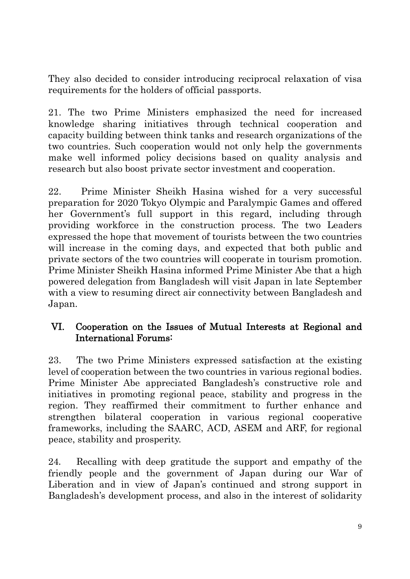They also decided to consider introducing reciprocal relaxation of visa requirements for the holders of official passports.

21. The two Prime Ministers emphasized the need for increased knowledge sharing initiatives through technical cooperation and capacity building between think tanks and research organizations of the two countries. Such cooperation would not only help the governments make well informed policy decisions based on quality analysis and research but also boost private sector investment and cooperation.

22. Prime Minister Sheikh Hasina wished for a very successful preparation for 2020 Tokyo Olympic and Paralympic Games and offered her Government's full support in this regard, including through providing workforce in the construction process. The two Leaders expressed the hope that movement of tourists between the two countries will increase in the coming days, and expected that both public and private sectors of the two countries will cooperate in tourism promotion. Prime Minister Sheikh Hasina informed Prime Minister Abe that a high powered delegation from Bangladesh will visit Japan in late September with a view to resuming direct air connectivity between Bangladesh and Japan.

#### VI. Cooperation on the Issues of Mutual Interests at Regional and International Forums:

23. The two Prime Ministers expressed satisfaction at the existing level of cooperation between the two countries in various regional bodies. Prime Minister Abe appreciated Bangladesh's constructive role and initiatives in promoting regional peace, stability and progress in the region. They reaffirmed their commitment to further enhance and strengthen bilateral cooperation in various regional cooperative frameworks, including the SAARC, ACD, ASEM and ARF, for regional peace, stability and prosperity.

24. Recalling with deep gratitude the support and empathy of the friendly people and the government of Japan during our War of Liberation and in view of Japan's continued and strong support in Bangladesh's development process, and also in the interest of solidarity